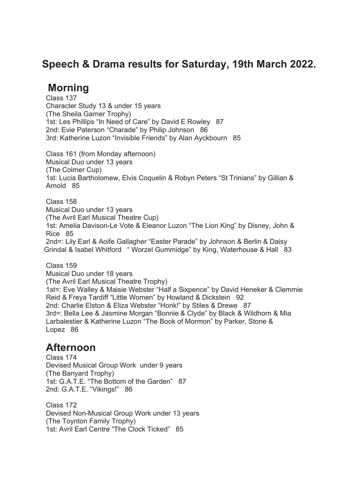### **Speech & Drama results for Saturday, 19th March 2022.**

# **Morning**

Class 137 Character Study 13 & under 15 years (The Sheila Garner Trophy) 1st: Les Phillips "In Need of Care" by David E Rowley 87 2nd: Evie Paterson "Charade" by Philip Johnson 86 3rd: Katherine Luzon "Invisible Friends" by Alan Ayckbourn 85

Class 161 (from Monday afternoon) Musical Duo under 13 years (The Colmer Cup) 1st: Lucia Bartholomew, Elvis Coquelin & Robyn Peters "St Trinians" by Gillian & Arnold 85

Class 158 Musical Duo under 13 years (The Avril Earl Musical Theatre Cup) 1st: Amelia Davison-Le Vote & Eleanor Luzon "The Lion King" by Disney, John & Rice 85 2nd=: Lily Earl & Aoife Gallagher "Easter Parade" by Johnson & Berlin & Daisy Grindal & Isabel Whitford " Worzel Gummidge" by King, Waterhouse & Hall 83

Class 159 Musical Duo under 18 years (The Avril Earl Musical Theatre Trophy) 1st=: Eve Walley & Maisie Webster "Half a Sixpence" by David Heneker & Clemmie Reid & Freya Tardiff "Little Women" by Howland & Dickstein 92 2nd: Charlie Elston & Eliza Webster "Honk!" by Stiles & Drewe 87 3rd=: Bella Lee & Jasmine Morgan "Bonnie & Clyde" by Black & Wildhorn & Mia Larbalestier & Katherine Luzon "The Book of Mormon" by Parker, Stone & Lopez 86

#### **Afternoon**

Class 174 Devised Musical Group Work under 9 years (The Banyard Trophy) 1st: G.A.T.E. "The Bottom of the Garden" 87 2nd: G.A.T.E. "Vikings!" 86

Class 172 Devised Non-Musical Group Work under 13 years (The Toynton Family Trophy) 1st: Avril Earl Centre "The Clock Ticked" 85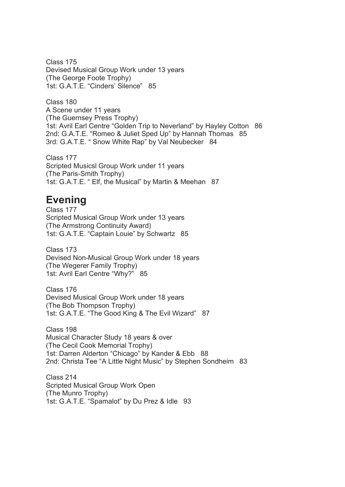Class 175 Devised Musical Group Work under 13 years (The George Foote Trophy) 1st: G.A.T.E. "Cinders' Silence" 85

Class 180 A Scene under 11 years (The Guernsey Press Trophy) 1st: Avril Earl Centre "Golden Trip to Neverland" by Hayley Cotton 86 2nd: G.A.T.E. "Romeo & Juliet Sped Up" by Hannah Thomas 85 3rd: G.A.T.E. " Snow White Rap" by Val Neubecker 84

Class 177 Scripted Musicsl Group Work under 11 years (The Paris-Smith Trophy) 1st: G.A.T.E. " Elf, the Musical" by Martin & Meehan 87

# **Evening**

Class 177 Scripted Musical Group Work under 13 years (The Armstrong Continuity Award) 1st: G.A.T.E. "Captain Louie" by Schwartz 85

Class 173 Devised Non-Musical Group Work under 18 years (The Wegerer Family Trophy) 1st: Avril Earl Centre "Why?" 85

Class 176 Devised Musical Group Work under 18 years (The Bob Thompson Trophy) 1st: G.A.T.E. "The Good King & The Evil Wizard" 87

Class 198 Musical Character Study 18 years & over (The Cecil Cook Memorial Trophy) 1st: Darren Alderton "Chicago" by Kander & Ebb 88 2nd: Christa Tee "A Little Night Music" by Stephen Sondheim 83

Class 214 Scripted Musical Group Work Open (The Munro Trophy) 1st: G.A.T.E. "Spamalot" by Du Prez & Idle 93